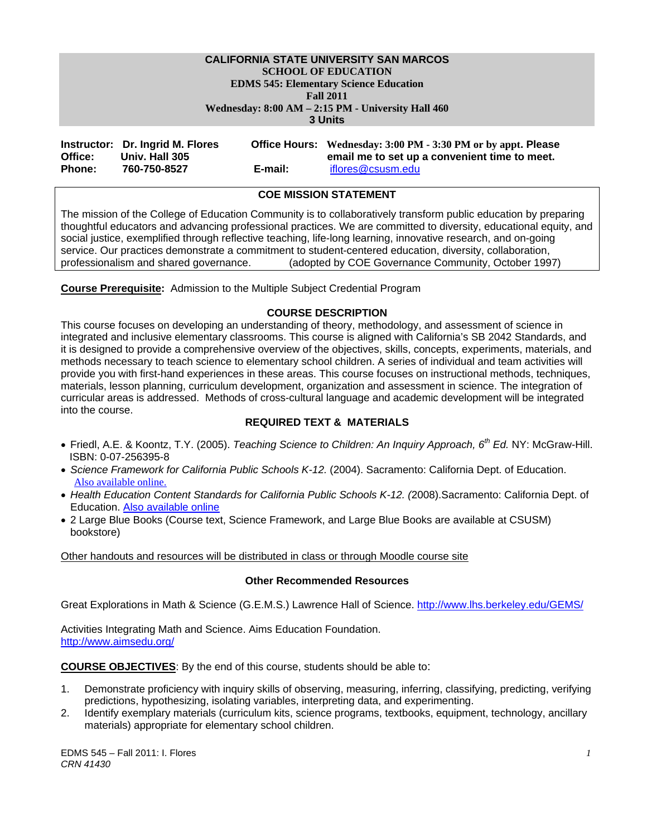#### **CALIFORNIA STATE UNIVERSITY SAN MARCOS SCHOOL OF EDUCATION EDMS 545: Elementary Science Education Fall 2011**

 **Wednesday: 8:00 AM – 2:15 PM - University Hall 460** 

**3 Units** 

|               | Instructor: Dr. Ingrid M. Flores |         | Office Hours: Wednesday: 3:00 PM - 3:30 PM or by appt. Please |
|---------------|----------------------------------|---------|---------------------------------------------------------------|
| Office:       | Univ. Hall 305                   |         | email me to set up a convenient time to meet.                 |
| <b>Phone:</b> | 760-750-8527                     | E-mail: | iflores@csusm.edu                                             |

# **COE MISSION STATEMENT**

The mission of the College of Education Community is to collaboratively transform public education by preparing thoughtful educators and advancing professional practices. We are committed to diversity, educational equity, and social justice, exemplified through reflective teaching, life-long learning, innovative research, and on-going service. Our practices demonstrate a commitment to student-centered education, diversity, collaboration, professionalism and shared governance. (adopted by COE Governance Community, October 1997)

**Course Prerequisite:** Admission to the Multiple Subject Credential Program

# **COURSE DESCRIPTION**

This course focuses on developing an understanding of theory, methodology, and assessment of science in integrated and inclusive elementary classrooms. This course is aligned with California's SB 2042 Standards, and it is designed to provide a comprehensive overview of the objectives, skills, concepts, experiments, materials, and methods necessary to teach science to elementary school children. A series of individual and team activities will provide you with first-hand experiences in these areas. This course focuses on instructional methods, techniques, materials, lesson planning, curriculum development, organization and assessment in science. The integration of curricular areas is addressed. Methods of cross-cultural language and academic development will be integrated into the course.

# **REQUIRED TEXT & MATERIALS**

- Friedl, A.E. & Koontz, T.Y. (2005). *Teaching Science to Children: An Inquiry Approach, 6th Ed.* NY: McGraw-Hill. ISBN: 0-07-256395-8
- *Science Framework for California Public Schools K-12.* (2004). Sacramento: California Dept. of Education. Also available online.
- *Health Education Content Standards for California Public Schools K-12. (*2008).Sacramento: California Dept. of Education. Also available online
- 2 Large Blue Books (Course text, Science Framework, and Large Blue Books are available at CSUSM) bookstore)

Other handouts and resources will be distributed in class or through Moodle course site

#### **Other Recommended Resources**

Great Explorations in Math & Science (G.E.M.S.) Lawrence Hall of Science. http://www.lhs.berkeley.edu/GEMS/

Activities Integrating Math and Science. Aims Education Foundation. http://www.aimsedu.org/

**COURSE OBJECTIVES**: By the end of this course, students should be able to:

- 1. Demonstrate proficiency with inquiry skills of observing, measuring, inferring, classifying, predicting, verifying predictions, hypothesizing, isolating variables, interpreting data, and experimenting.
- 2. Identify exemplary materials (curriculum kits, science programs, textbooks, equipment, technology, ancillary materials) appropriate for elementary school children.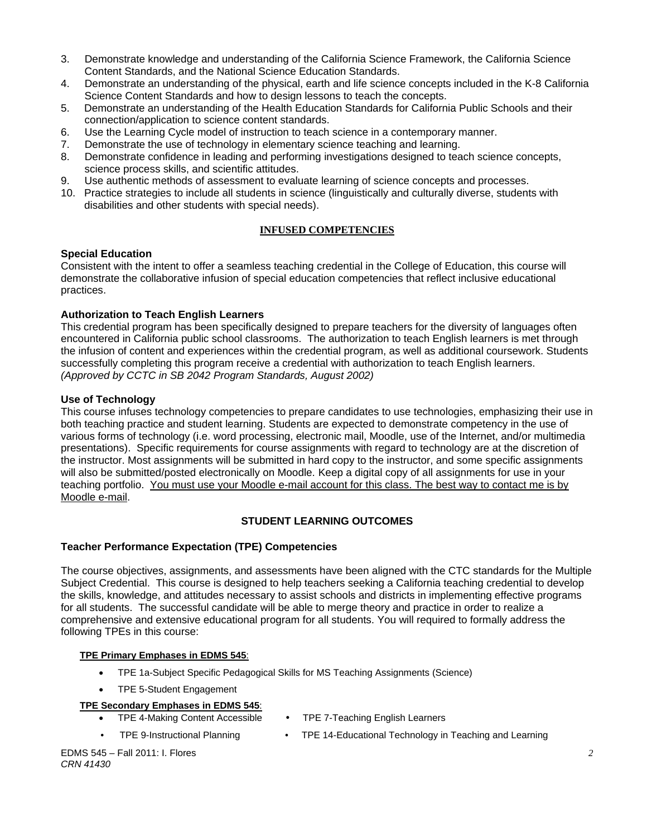- 3. Demonstrate knowledge and understanding of the California Science Framework, the California Science Content Standards, and the National Science Education Standards.
- 4. Demonstrate an understanding of the physical, earth and life science concepts included in the K-8 California Science Content Standards and how to design lessons to teach the concepts.
- 5. Demonstrate an understanding of the Health Education Standards for California Public Schools and their connection/application to science content standards.
- 6. Use the Learning Cycle model of instruction to teach science in a contemporary manner.
- 7. Demonstrate the use of technology in elementary science teaching and learning.
- 8. Demonstrate confidence in leading and performing investigations designed to teach science concepts, science process skills, and scientific attitudes.
- 9. Use authentic methods of assessment to evaluate learning of science concepts and processes.
- 10. Practice strategies to include all students in science (linguistically and culturally diverse, students with disabilities and other students with special needs).

# **INFUSED COMPETENCIES**

#### **Special Education**

Consistent with the intent to offer a seamless teaching credential in the College of Education, this course will demonstrate the collaborative infusion of special education competencies that reflect inclusive educational practices.

# **Authorization to Teach English Learners**

This credential program has been specifically designed to prepare teachers for the diversity of languages often encountered in California public school classrooms. The authorization to teach English learners is met through the infusion of content and experiences within the credential program, as well as additional coursework. Students successfully completing this program receive a credential with authorization to teach English learners. *(Approved by CCTC in SB 2042 Program Standards, August 2002)* 

# **Use of Technology**

This course infuses technology competencies to prepare candidates to use technologies, emphasizing their use in both teaching practice and student learning. Students are expected to demonstrate competency in the use of various forms of technology (i.e. word processing, electronic mail, Moodle, use of the Internet, and/or multimedia presentations). Specific requirements for course assignments with regard to technology are at the discretion of the instructor. Most assignments will be submitted in hard copy to the instructor, and some specific assignments will also be submitted/posted electronically on Moodle. Keep a digital copy of all assignments for use in your teaching portfolio. You must use your Moodle e-mail account for this class. The best way to contact me is by Moodle e-mail.

# **STUDENT LEARNING OUTCOMES**

#### **Teacher Performance Expectation (TPE) Competencies**

The course objectives, assignments, and assessments have been aligned with the CTC standards for the Multiple Subject Credential. This course is designed to help teachers seeking a California teaching credential to develop the skills, knowledge, and attitudes necessary to assist schools and districts in implementing effective programs for all students. The successful candidate will be able to merge theory and practice in order to realize a comprehensive and extensive educational program for all students. You will required to formally address the following TPEs in this course:

#### **TPE Primary Emphases in EDMS 545**:

- TPE 1a-Subject Specific Pedagogical Skills for MS Teaching Assignments (Science)
- TPE 5-Student Engagement

#### **TPE Secondary Emphases in EDMS 545**:

- TPE 4-Making Content Accessible
- TPE 7-Teaching English Learners
- 
- TPE 9-Instructional Planning TPE 14-Educational Technology in Teaching and Learning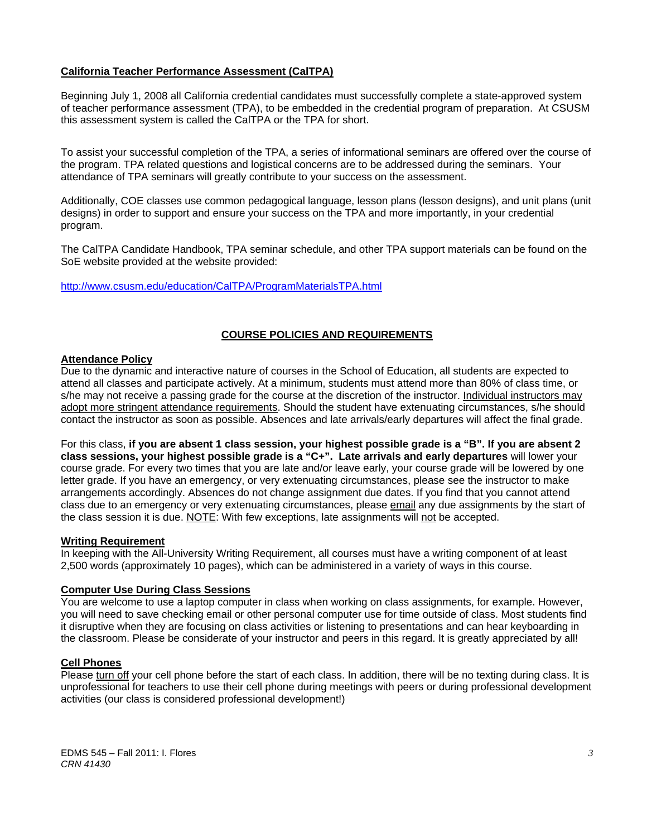# **California Teacher Performance Assessment (CalTPA)**

Beginning July 1, 2008 all California credential candidates must successfully complete a state-approved system of teacher performance assessment (TPA), to be embedded in the credential program of preparation. At CSUSM this assessment system is called the CalTPA or the TPA for short.

To assist your successful completion of the TPA, a series of informational seminars are offered over the course of the program. TPA related questions and logistical concerns are to be addressed during the seminars. Your attendance of TPA seminars will greatly contribute to your success on the assessment.

Additionally, COE classes use common pedagogical language, lesson plans (lesson designs), and unit plans (unit designs) in order to support and ensure your success on the TPA and more importantly, in your credential program.

The CalTPA Candidate Handbook, TPA seminar schedule, and other TPA support materials can be found on the SoE website provided at the website provided:

http://www.csusm.edu/education/CalTPA/ProgramMaterialsTPA.html

# **COURSE POLICIES AND REQUIREMENTS**

#### **Attendance Policy**

Due to the dynamic and interactive nature of courses in the School of Education, all students are expected to attend all classes and participate actively. At a minimum, students must attend more than 80% of class time, or s/he may not receive a passing grade for the course at the discretion of the instructor. Individual instructors may adopt more stringent attendance requirements. Should the student have extenuating circumstances, s/he should contact the instructor as soon as possible. Absences and late arrivals/early departures will affect the final grade.

For this class, **if you are absent 1 class session, your highest possible grade is a "B". If you are absent 2 class sessions, your highest possible grade is a "C+". Late arrivals and early departures** will lower your course grade. For every two times that you are late and/or leave early, your course grade will be lowered by one letter grade. If you have an emergency, or very extenuating circumstances, please see the instructor to make arrangements accordingly. Absences do not change assignment due dates. If you find that you cannot attend class due to an emergency or very extenuating circumstances, please email any due assignments by the start of the class session it is due. NOTE: With few exceptions, late assignments will not be accepted.

#### **Writing Requirement**

In keeping with the All-University Writing Requirement, all courses must have a writing component of at least 2,500 words (approximately 10 pages), which can be administered in a variety of ways in this course.

#### **Computer Use During Class Sessions**

You are welcome to use a laptop computer in class when working on class assignments, for example. However, you will need to save checking email or other personal computer use for time outside of class. Most students find it disruptive when they are focusing on class activities or listening to presentations and can hear keyboarding in the classroom. Please be considerate of your instructor and peers in this regard. It is greatly appreciated by all!

## **Cell Phones**

Please turn off your cell phone before the start of each class. In addition, there will be no texting during class. It is unprofessional for teachers to use their cell phone during meetings with peers or during professional development activities (our class is considered professional development!)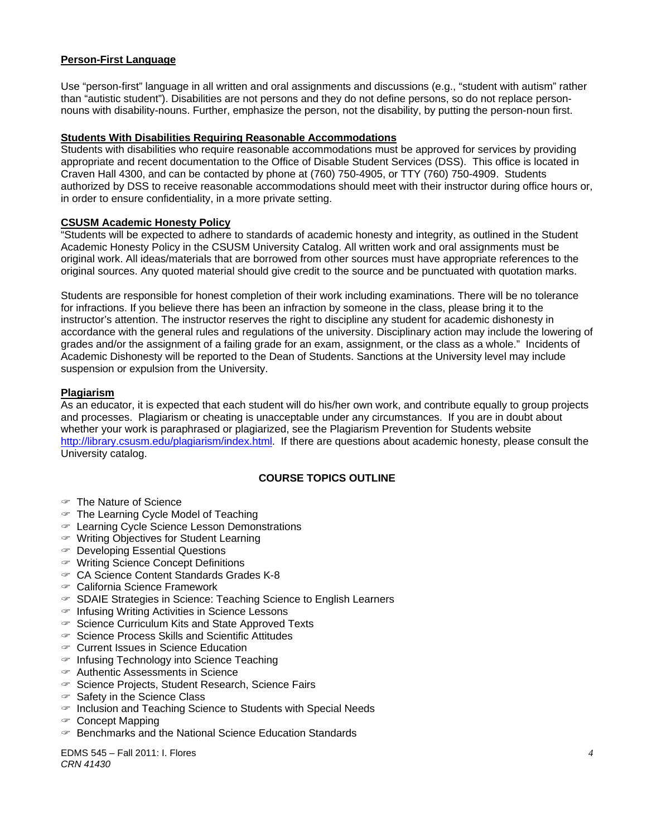# **Person-First Language**

Use "person-first" language in all written and oral assignments and discussions (e.g., "student with autism" rather than "autistic student"). Disabilities are not persons and they do not define persons, so do not replace personnouns with disability-nouns. Further, emphasize the person, not the disability, by putting the person-noun first.

#### **Students With Disabilities Requiring Reasonable Accommodations**

Students with disabilities who require reasonable accommodations must be approved for services by providing appropriate and recent documentation to the Office of Disable Student Services (DSS). This office is located in Craven Hall 4300, and can be contacted by phone at (760) 750-4905, or TTY (760) 750-4909. Students authorized by DSS to receive reasonable accommodations should meet with their instructor during office hours or, in order to ensure confidentiality, in a more private setting.

# **CSUSM Academic Honesty Policy**

"Students will be expected to adhere to standards of academic honesty and integrity, as outlined in the Student Academic Honesty Policy in the CSUSM University Catalog. All written work and oral assignments must be original work. All ideas/materials that are borrowed from other sources must have appropriate references to the original sources. Any quoted material should give credit to the source and be punctuated with quotation marks.

Students are responsible for honest completion of their work including examinations. There will be no tolerance for infractions. If you believe there has been an infraction by someone in the class, please bring it to the instructor's attention. The instructor reserves the right to discipline any student for academic dishonesty in accordance with the general rules and regulations of the university. Disciplinary action may include the lowering of grades and/or the assignment of a failing grade for an exam, assignment, or the class as a whole." Incidents of Academic Dishonesty will be reported to the Dean of Students. Sanctions at the University level may include suspension or expulsion from the University.

# **Plagiarism**

As an educator, it is expected that each student will do his/her own work, and contribute equally to group projects and processes. Plagiarism or cheating is unacceptable under any circumstances. If you are in doubt about whether your work is paraphrased or plagiarized, see the Plagiarism Prevention for Students website http://library.csusm.edu/plagiarism/index.html. If there are questions about academic honesty, please consult the University catalog.

# **COURSE TOPICS OUTLINE**

- The Nature of Science
- $\in$  The Learning Cycle Model of Teaching
- Learning Cycle Science Lesson Demonstrations
- $\infty$  Writing Objectives for Student Learning
- Developing Essential Questions
- Writing Science Concept Definitions
- CA Science Content Standards Grades K-8
- California Science Framework
- SDAIE Strategies in Science: Teaching Science to English Learners
- $\in$  Infusing Writing Activities in Science Lessons
- $\infty$  Science Curriculum Kits and State Approved Texts
- $\in$  Science Process Skills and Scientific Attitudes
- Current Issues in Science Education
- $\in$  Infusing Technology into Science Teaching
- Authentic Assessments in Science
- $\infty$  Science Projects, Student Research, Science Fairs
- $\mathcal F$  Safety in the Science Class
- $\in$  Inclusion and Teaching Science to Students with Special Needs
- $\infty$  Concept Mapping
- $\mathcal P$  Benchmarks and the National Science Education Standards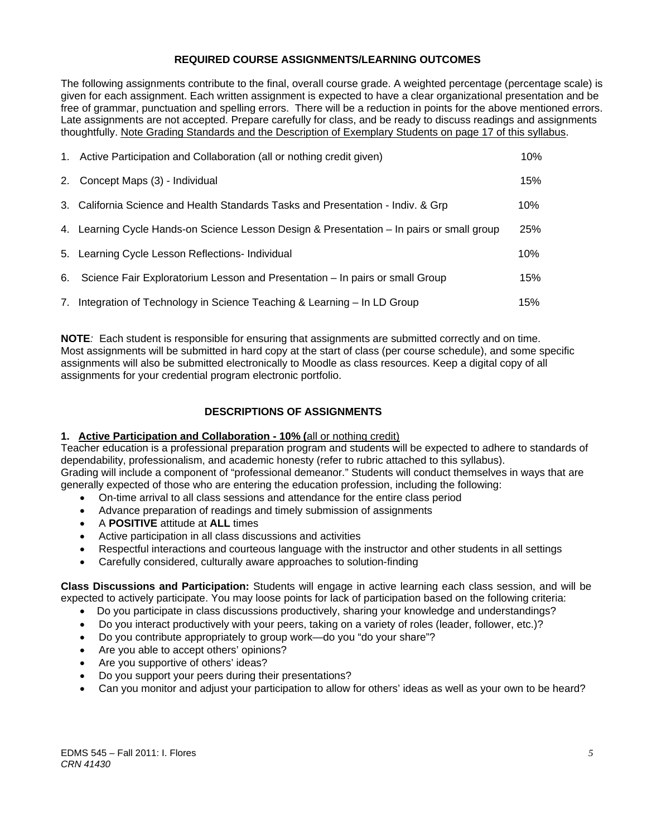# **REQUIRED COURSE ASSIGNMENTS/LEARNING OUTCOMES**

The following assignments contribute to the final, overall course grade. A weighted percentage (percentage scale) is given for each assignment. Each written assignment is expected to have a clear organizational presentation and be free of grammar, punctuation and spelling errors. There will be a reduction in points for the above mentioned errors. Late assignments are not accepted. Prepare carefully for class, and be ready to discuss readings and assignments thoughtfully. Note Grading Standards and the Description of Exemplary Students on page 17 of this syllabus.

| 1. Active Participation and Collaboration (all or nothing credit given)                   | 10% |
|-------------------------------------------------------------------------------------------|-----|
| 2. Concept Maps (3) - Individual                                                          | 15% |
| 3. California Science and Health Standards Tasks and Presentation - Indiv. & Grp          | 10% |
| 4. Learning Cycle Hands-on Science Lesson Design & Presentation - In pairs or small group | 25% |
| 5. Learning Cycle Lesson Reflections- Individual                                          | 10% |
| 6. Science Fair Exploratorium Lesson and Presentation – In pairs or small Group           | 15% |
| 7. Integration of Technology in Science Teaching & Learning – In LD Group                 | 15% |

**NOTE***:* Each student is responsible for ensuring that assignments are submitted correctly and on time. Most assignments will be submitted in hard copy at the start of class (per course schedule), and some specific assignments will also be submitted electronically to Moodle as class resources. Keep a digital copy of all assignments for your credential program electronic portfolio.

# **DESCRIPTIONS OF ASSIGNMENTS**

## **1. Active Participation and Collaboration - 10% (**all or nothing credit)

Teacher education is a professional preparation program and students will be expected to adhere to standards of dependability, professionalism, and academic honesty (refer to rubric attached to this syllabus). Grading will include a component of "professional demeanor." Students will conduct themselves in ways that are generally expected of those who are entering the education profession, including the following:

- On-time arrival to all class sessions and attendance for the entire class period
- Advance preparation of readings and timely submission of assignments
- A **POSITIVE** attitude at **ALL** times
- Active participation in all class discussions and activities
- Respectful interactions and courteous language with the instructor and other students in all settings
- Carefully considered, culturally aware approaches to solution-finding

**Class Discussions and Participation:** Students will engage in active learning each class session, and will be expected to actively participate. You may loose points for lack of participation based on the following criteria:

- Do you participate in class discussions productively, sharing your knowledge and understandings?
- Do you interact productively with your peers, taking on a variety of roles (leader, follower, etc.)?
- Do you contribute appropriately to group work—do you "do your share"?
- Are you able to accept others' opinions?
- Are you supportive of others' ideas?
- Do you support your peers during their presentations?
- Can you monitor and adjust your participation to allow for others' ideas as well as your own to be heard?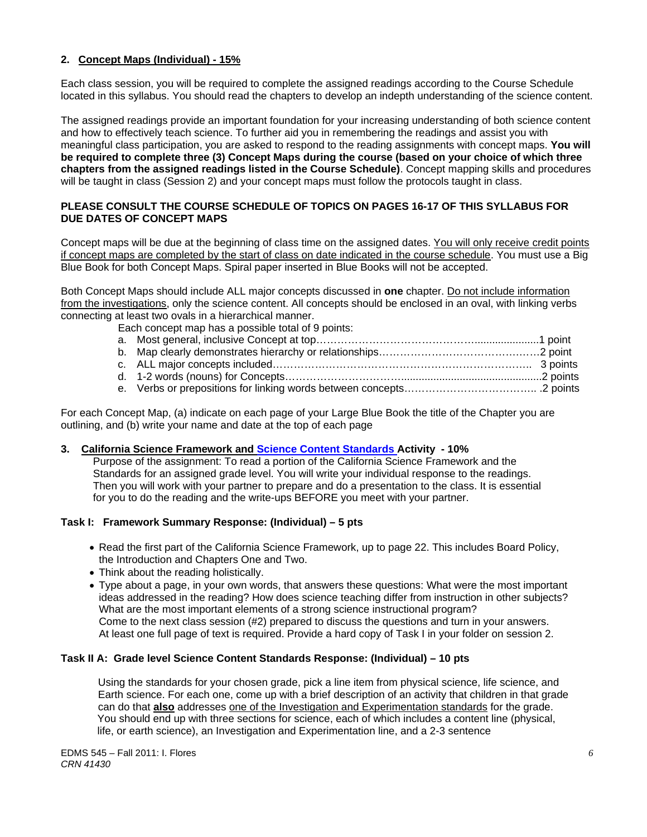# **2. Concept Maps (Individual) - 15%**

Each class session, you will be required to complete the assigned readings according to the Course Schedule located in this syllabus. You should read the chapters to develop an indepth understanding of the science content.

The assigned readings provide an important foundation for your increasing understanding of both science content and how to effectively teach science. To further aid you in remembering the readings and assist you with meaningful class participation, you are asked to respond to the reading assignments with concept maps. **You will be required to complete three (3) Concept Maps during the course (based on your choice of which three chapters from the assigned readings listed in the Course Schedule)**. Concept mapping skills and procedures will be taught in class (Session 2) and your concept maps must follow the protocols taught in class.

# **PLEASE CONSULT THE COURSE SCHEDULE OF TOPICS ON PAGES 16-17 OF THIS SYLLABUS FOR DUE DATES OF CONCEPT MAPS**

Concept maps will be due at the beginning of class time on the assigned dates. You will only receive credit points if concept maps are completed by the start of class on date indicated in the course schedule. You must use a Big Blue Book for both Concept Maps. Spiral paper inserted in Blue Books will not be accepted.

Both Concept Maps should include ALL major concepts discussed in **one** chapter. Do not include information from the investigations, only the science content. All concepts should be enclosed in an oval, with linking verbs connecting at least two ovals in a hierarchical manner.

Each concept map has a possible total of 9 points:

| $\mathcal{M}$ . The contract of the contract of the contract of the contract of the contract of the contract of the contract of the contract of the contract of the contract of the contract of the contract of the contract of th |  |
|------------------------------------------------------------------------------------------------------------------------------------------------------------------------------------------------------------------------------------|--|

e. Verbs or prepositions for linking words between concepts……………………………….. .2 points

For each Concept Map, (a) indicate on each page of your Large Blue Book the title of the Chapter you are outlining, and (b) write your name and date at the top of each page

#### **3. California Science Framework and Science Content Standards Activity - 10%**

 Purpose of the assignment: To read a portion of the California Science Framework and the Standards for an assigned grade level. You will write your individual response to the readings. Then you will work with your partner to prepare and do a presentation to the class. It is essential for you to do the reading and the write-ups BEFORE you meet with your partner.

# **Task I: Framework Summary Response: (Individual) – 5 pts**

- Read the first part of the California Science Framework, up to page 22. This includes Board Policy, the Introduction and Chapters One and Two.
- Think about the reading holistically.
- Type about a page, in your own words, that answers these questions: What were the most important ideas addressed in the reading? How does science teaching differ from instruction in other subjects? What are the most important elements of a strong science instructional program? Come to the next class session (#2) prepared to discuss the questions and turn in your answers. At least one full page of text is required. Provide a hard copy of Task I in your folder on session 2.

#### **Task II A: Grade level Science Content Standards Response: (Individual) – 10 pts**

 Using the standards for your chosen grade, pick a line item from physical science, life science, and Earth science. For each one, come up with a brief description of an activity that children in that grade can do that **also** addresses one of the Investigation and Experimentation standards for the grade. You should end up with three sections for science, each of which includes a content line (physical, life, or earth science), an Investigation and Experimentation line, and a 2-3 sentence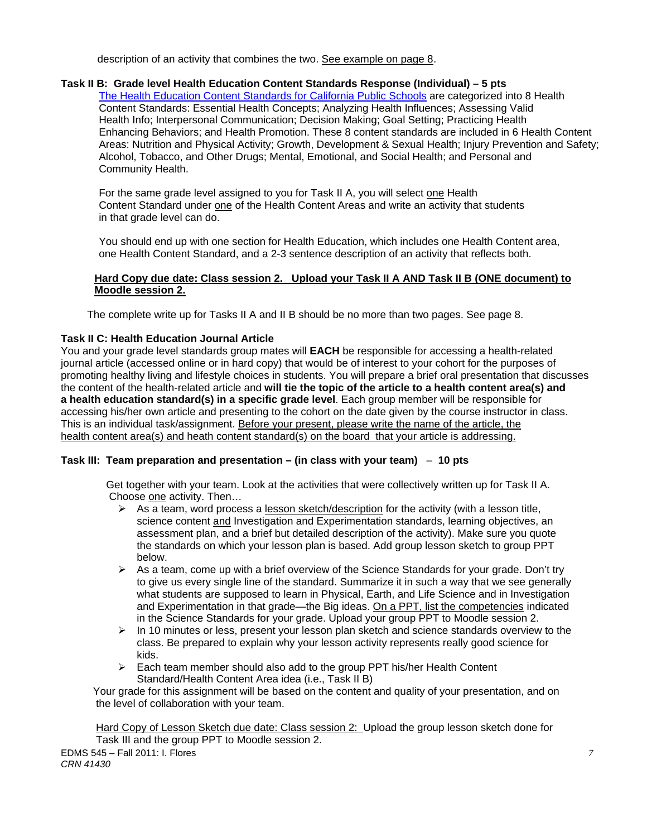description of an activity that combines the two. See example on page 8.

# **Task II B: Grade level Health Education Content Standards Response (Individual) – 5 pts**

Enhancing Behaviors; and Health Promotion. These 8 content standards are included in 6 Health Content Alcohol, Tobacco, and Other Drugs; Mental, Emotional, and Social Health; and Personal and The Health Education Content Standards for California Public Schools are categorized into 8 Health Content Standards: Essential Health Concepts; Analyzing Health Influences; Assessing Valid Health Info; Interpersonal Communication; Decision Making; Goal Setting; Practicing Health Areas: Nutrition and Physical Activity; Growth, Development & Sexual Health; Injury Prevention and Safety; Community Health.

For the same grade level assigned to you for Task II A, you will select one Health Content Standard under one of the Health Content Areas and write an activity that students in that grade level can do.

You should end up with one section for Health Education, which includes one Health Content area, one Health Content Standard, and a 2-3 sentence description of an activity that reflects both.

## **Hard Copy due date: Class session 2. Upload your Task II A AND Task II B (ONE document) to Moodle session 2.**

The complete write up for Tasks II A and II B should be no more than two pages. See page 8.

#### **Task II C: Health Education Journal Article**

journal article (accessed online or in hard copy) that would be of interest to your cohort for the purposes of You and your grade level standards group mates will **EACH** be responsible for accessing a health-related promoting healthy living and lifestyle choices in students. You will prepare a brief oral presentation that discusses the content of the health-related article and **will tie the topic of the article to a health content area(s) and a health education standard(s) in a specific grade level**. Each group member will be responsible for accessing his/her own article and presenting to the cohort on the date given by the course instructor in class. This is an individual task/assignment. Before your present, please write the name of the article, the health content area(s) and heath content standard(s) on the board that your article is addressing.

#### **Task III: Team preparation and presentation – (in class with your team)** – **10 pts**

 Get together with your team. Look at the activities that were collectively written up for Task II A. Choose one activity. Then…

- $\triangleright$  As a team, word process a lesson sketch/description for the activity (with a lesson title, science content and Investigation and Experimentation standards, learning objectives, an assessment plan, and a brief but detailed description of the activity). Make sure you quote the standards on which your lesson plan is based. Add group lesson sketch to group PPT below.
- $\triangleright$  As a team, come up with a brief overview of the Science Standards for your grade. Don't try to give us every single line of the standard. Summarize it in such a way that we see generally what students are supposed to learn in Physical, Earth, and Life Science and in Investigation and Experimentation in that grade—the Big ideas. On a PPT, list the competencies indicated in the Science Standards for your grade. Upload your group PPT to Moodle session 2.
- $\triangleright$  In 10 minutes or less, present your lesson plan sketch and science standards overview to the class. Be prepared to explain why your lesson activity represents really good science for kids.
- $\triangleright$  Each team member should also add to the group PPT his/her Health Content Standard/Health Content Area idea (i.e., Task II B)

 Your grade for this assignment will be based on the content and quality of your presentation, and on the level of collaboration with your team.

 Hard Copy of Lesson Sketch due date: Class session 2: Upload the group lesson sketch done for Task III and the group PPT to Moodle session 2.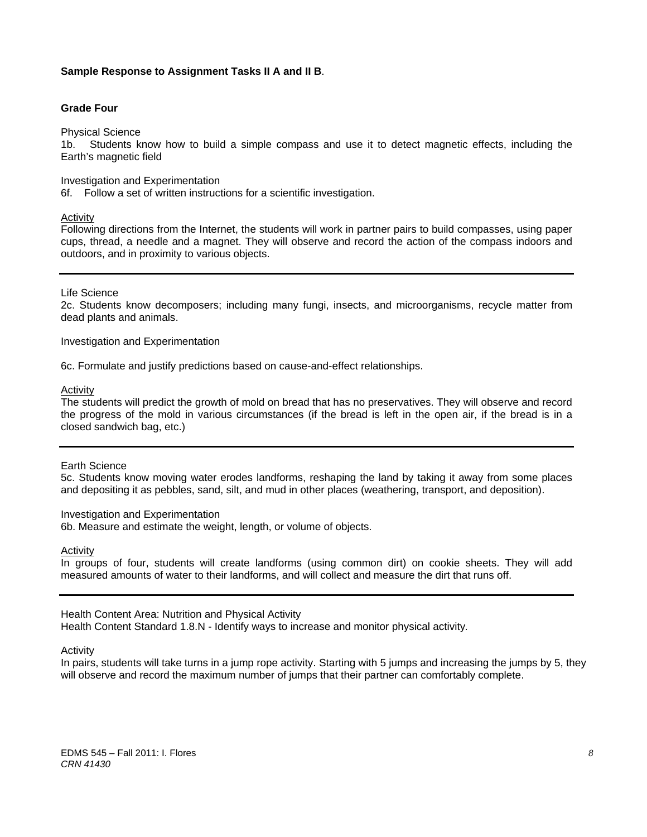#### **Sample Response to Assignment Tasks II A and II B**.

#### **Grade Four**

Physical Science

1b. Students know how to build a simple compass and use it to detect magnetic effects, including the Earth's magnetic field

Investigation and Experimentation

6f. Follow a set of written instructions for a scientific investigation.

#### Activity

Following directions from the Internet, the students will work in partner pairs to build compasses, using paper cups, thread, a needle and a magnet. They will observe and record the action of the compass indoors and outdoors, and in proximity to various objects.

#### Life Science

2c. Students know decomposers; including many fungi, insects, and microorganisms, recycle matter from dead plants and animals.

Investigation and Experimentation

6c. Formulate and justify predictions based on cause-and-effect relationships.

Activity

 the progress of the mold in various circumstances (if the bread is left in the open air, if the bread is in a The students will predict the growth of mold on bread that has no preservatives. They will observe and record closed sandwich bag, etc.)

#### Earth Science

5c. Students know moving water erodes landforms, reshaping the land by taking it away from some places and depositing it as pebbles, sand, silt, and mud in other places (weathering, transport, and deposition).

#### Investigation and Experimentation

6b. Measure and estimate the weight, length, or volume of objects.

Activity

In groups of four, students will create landforms (using common dirt) on cookie sheets. They will add measured amounts of water to their landforms, and will collect and measure the dirt that runs off.

#### Health Content Area: Nutrition and Physical Activity

Health Content Standard 1.8.N - Identify ways to increase and monitor physical activity*.* 

Activity

In pairs, students will take turns in a jump rope activity. Starting with 5 jumps and increasing the jumps by 5, they will observe and record the maximum number of jumps that their partner can comfortably complete.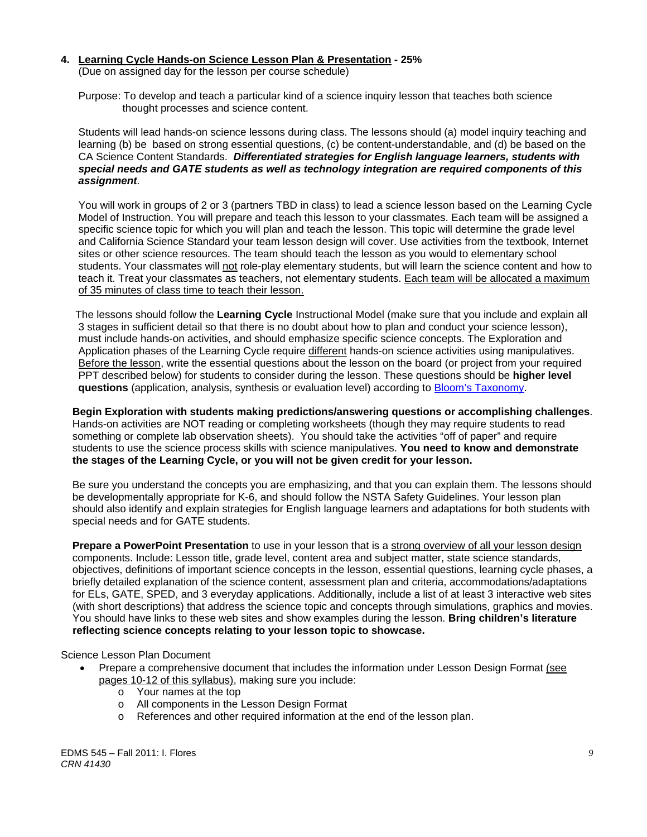#### **4. Learning Cycle Hands-on Science Lesson Plan & Presentation - 25%**

(Due on assigned day for the lesson per course schedule)

 Purpose: To develop and teach a particular kind of a science inquiry lesson that teaches both science thought processes and science content.

 Students will lead hands-on science lessons during class. The lessons should (a) model inquiry teaching and learning (b) be based on strong essential questions, (c) be content-understandable, and (d) be based on the CA Science Content Standards. *Differentiated strategies for English language learners, students with special needs and GATE students as well as technology integration are required components of this assignment.*

 You will work in groups of 2 or 3 (partners TBD in class) to lead a science lesson based on the Learning Cycle Model of Instruction. You will prepare and teach this lesson to your classmates. Each team will be assigned a specific science topic for which you will plan and teach the lesson. This topic will determine the grade level and California Science Standard your team lesson design will cover. Use activities from the textbook, Internet sites or other science resources. The team should teach the lesson as you would to elementary school students. Your classmates will not role-play elementary students, but will learn the science content and how to teach it. Treat your classmates as teachers, not elementary students. Each team will be allocated a maximum of 35 minutes of class time to teach their lesson.

 The lessons should follow the **Learning Cycle** Instructional Model (make sure that you include and explain all 3 stages in sufficient detail so that there is no doubt about how to plan and conduct your science lesson), must include hands-on activities, and should emphasize specific science concepts. The Exploration and Application phases of the Learning Cycle require different hands-on science activities using manipulatives. Before the lesson, write the essential questions about the lesson on the board (or project from your required PPT described below) for students to consider during the lesson. These questions should be **higher level questions** (application, analysis, synthesis or evaluation level) according to Bloom's Taxonomy.

**Begin Exploration with students making predictions/answering questions or accomplishing challenges**. Hands-on activities are NOT reading or completing worksheets (though they may require students to read something or complete lab observation sheets). You should take the activities "off of paper" and require students to use the science process skills with science manipulatives. **You need to know and demonstrate the stages of the Learning Cycle, or you will not be given credit for your lesson.**

 Be sure you understand the concepts you are emphasizing, and that you can explain them. The lessons should be developmentally appropriate for K-6, and should follow the NSTA Safety Guidelines. Your lesson plan should also identify and explain strategies for English language learners and adaptations for both students with special needs and for GATE students.

**Prepare a PowerPoint Presentation** to use in your lesson that is a strong overview of all your lesson design components. Include: Lesson title, grade level, content area and subject matter, state science standards, objectives, definitions of important science concepts in the lesson, essential questions, learning cycle phases, a briefly detailed explanation of the science content, assessment plan and criteria, accommodations/adaptations for ELs, GATE, SPED, and 3 everyday applications. Additionally, include a list of at least 3 interactive web sites (with short descriptions) that address the science topic and concepts through simulations, graphics and movies. You should have links to these web sites and show examples during the lesson. **Bring children's literature reflecting science concepts relating to your lesson topic to showcase.** 

#### Science Lesson Plan Document

- Prepare a comprehensive document that includes the information under Lesson Design Format (see pages 10-12 of this syllabus), making sure you include:
	- o Your names at the top
	- o All components in the Lesson Design Format
	- o References and other required information at the end of the lesson plan.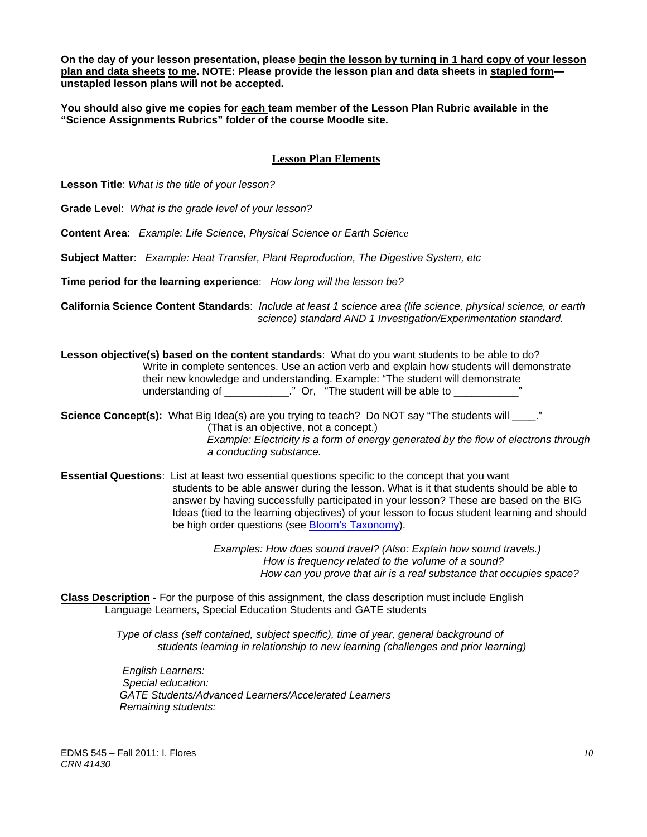**On the day of your lesson presentation, please begin the lesson by turning in 1 hard copy of your lesson plan and data sheets to me. NOTE: Please provide the lesson plan and data sheets in stapled form unstapled lesson plans will not be accepted.** 

**You should also give me copies for each team member of the Lesson Plan Rubric available in the "Science Assignments Rubrics" folder of the course Moodle site.** 

# **Lesson Plan Elements**

**Lesson Title**: *What is the title of your lesson?* 

**Grade Level**: *What is the grade level of your lesson?* 

**Content Area**: *Example: Life Science, Physical Science or Earth Science* 

**Subject Matter**: *Example: Heat Transfer, Plant Reproduction, The Digestive System, etc* 

**Time period for the learning experience**: *How long will the lesson be?* 

**California Science Content Standards**: *Include at least 1 science area (life science, physical science, or earth science) standard AND 1 Investigation/Experimentation standard.* 

**Lesson objective(s) based on the content standards**: What do you want students to be able to do? Write in complete sentences. Use an action verb and explain how students will demonstrate their new knowledge and understanding. Example: "The student will demonstrate understanding of \_\_\_\_\_\_\_\_\_\_\_\_." Or, "The student will be able to \_\_\_\_\_\_\_\_\_\_\_\_

**Science Concept(s):** What Big Idea(s) are you trying to teach? Do NOT say "The students will \_\_\_\_." (That is an objective, not a concept.) *Example: Electricity is a form of energy generated by the flow of electrons through a conducting substance.* 

 **Essential Questions**: List at least two essential questions specific to the concept that you want students to be able answer during the lesson. What is it that students should be able to answer by having successfully participated in your lesson? These are based on the BIG Ideas (tied to the learning objectives) of your lesson to focus student learning and should be high order questions (see Bloom's Taxonomy).

> *Examples: How does sound travel? (Also: Explain how sound travels.) How is frequency related to the volume of a sound? How can you prove that air is a real substance that occupies space?*

**Class Description -** For the purpose of this assignment, the class description must include English Language Learners, Special Education Students and GATE students

> *Type of class (self contained, subject specific), time of year, general background of students learning in relationship to new learning (challenges and prior learning)*

*English Learners: Special education: GATE Students/Advanced Learners/Accelerated Learners Remaining students:*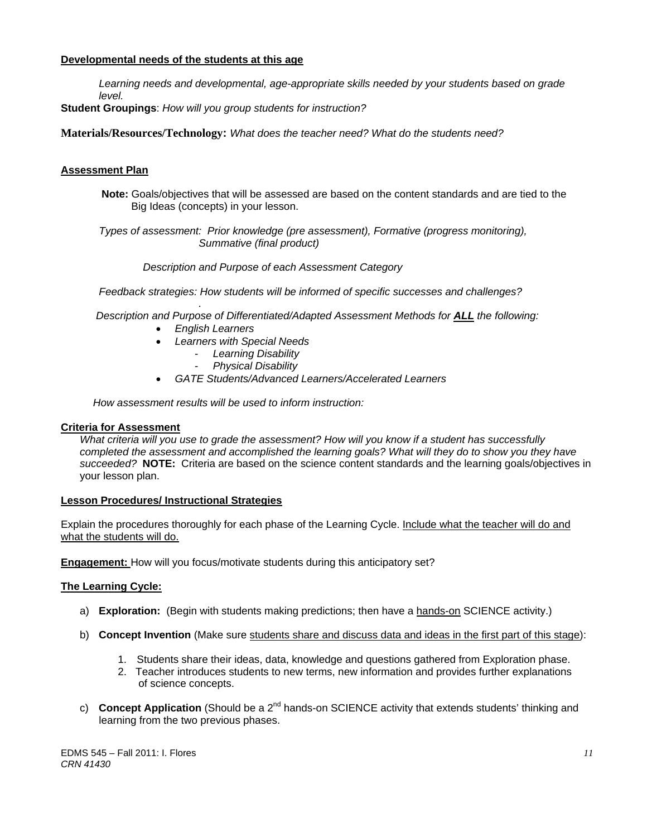## **Developmental needs of the students at this age**

*Learning needs and developmental, age-appropriate skills needed by your students based on grade level.* 

**Student Groupings**: *How will you group students for instruction?* 

**Materials/Resources/Technology:** *What does the teacher need? What do the students need?* 

## **Assessment Plan**

**Note:** Goals/objectives that will be assessed are based on the content standards and are tied to the Big Ideas (concepts) in your lesson.

 *Types of assessment: Prior knowledge (pre assessment), Formative (progress monitoring), Summative (final product)* 

 *Description and Purpose of each Assessment Category* 

 *Feedback strategies: How students will be informed of specific successes and challenges?* 

*. Description and Purpose of Differentiated/Adapted Assessment Methods for ALL the following:* 

- *English Learners*
- *Learners with Special Needs* 
	- *Learning Disability*
	- *Physical Disability*
- *GATE Students/Advanced Learners/Accelerated Learners*

 *How assessment results will be used to inform instruction:* 

#### **Criteria for Assessment**

 *succeeded?* **NOTE:** Criteria are based on the science content standards and the learning goals/objectives in *What criteria will you use to grade the assessment? How will you know if a student has successfully completed the assessment and accomplished the learning goals? What will they do to show you they have*  your lesson plan.

#### **Lesson Procedures/ Instructional Strategies**

what the students will do. Explain the procedures thoroughly for each phase of the Learning Cycle. Include what the teacher will do and

**Engagement:** How will you focus/motivate students during this anticipatory set?

#### **The Learning Cycle:**

- a) **Exploration:** (Begin with students making predictions; then have a hands-on SCIENCE activity.)
- b) **Concept Invention** (Make sure students share and discuss data and ideas in the first part of this stage):
	- 1. Students share their ideas, data, knowledge and questions gathered from Exploration phase.
	- 2. Teacher introduces students to new terms, new information and provides further explanations of science concepts.
- c) **Concept Application** (Should be a 2<sup>nd</sup> hands-on SCIENCE activity that extends students' thinking and learning from the two previous phases.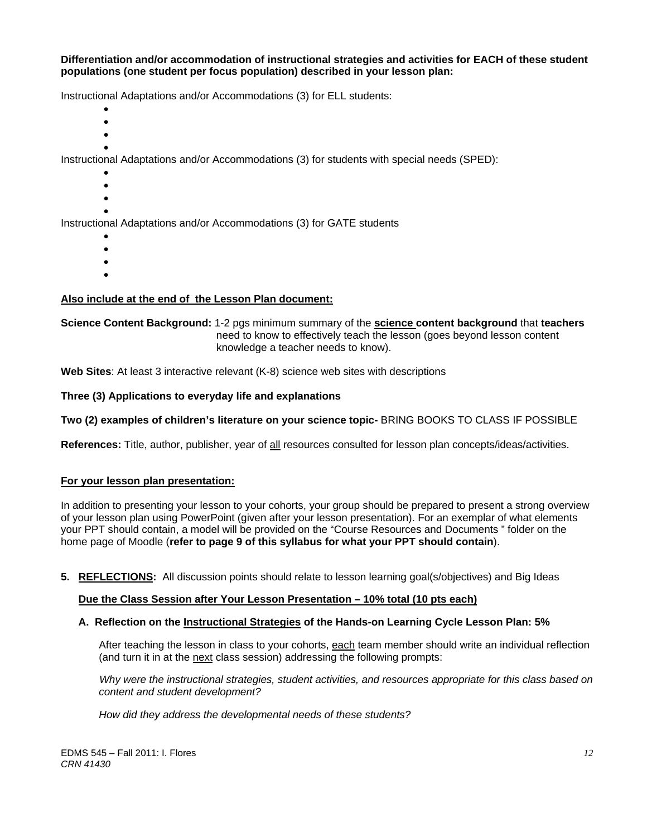#### **Differentiation and/or accommodation of instructional strategies and activities for EACH of these student populations (one student per focus population) described in your lesson plan:**

Instructional Adaptations and/or Accommodations (3) for ELL students:

- $\bullet$
- $\bullet$
- $\bullet$  $\bullet$

Instructional Adaptations and/or Accommodations (3) for students with special needs (SPED):

- $\bullet$
- $\bullet$
- $\bullet$  $\bullet$

Instructional Adaptations and/or Accommodations (3) for GATE students

- $\bullet$
- $\bullet$
- $\bullet$
- $\bullet$

# **Also include at the end of the Lesson Plan document:**

#### **Science Content Background:** 1-2 pgs minimum summary of the **science content background** that **teachers** need to know to effectively teach the lesson (goes beyond lesson content knowledge a teacher needs to know).

**Web Sites**: At least 3 interactive relevant (K-8) science web sites with descriptions

# Three (3) Applications to everyday life and explanations

# Two (2) examples of children's literature on your science topic- BRING BOOKS TO CLASS IF POSSIBLE

**References:** Title, author, publisher, year of all resources consulted for lesson plan concepts/ideas/activities.

#### **For your lesson plan presentation:**

In addition to presenting your lesson to your cohorts, your group should be prepared to present a strong overview of your lesson plan using PowerPoint (given after your lesson presentation). For an exemplar of what elements your PPT should contain, a model will be provided on the "Course Resources and Documents " folder on the home page of Moodle (**refer to page 9 of this syllabus for what your PPT should contain**).

**5. REFLECTIONS:** All discussion points should relate to lesson learning goal(s/objectives) and Big Ideas

# **Due the Class Session after Your Lesson Presentation – 10% total (10 pts each)**

# **A. Reflection on the Instructional Strategies of the Hands-on Learning Cycle Lesson Plan: 5%**

After teaching the lesson in class to your cohorts, <u>each</u> team member should write an individual reflection (and turn it in at the <u>next</u> class session) addressing the following prompts:

content and student development?  *Why were the instructional strategies, student activities, and resources appropriate for this class based on* 

*content and student development? How did they address the developmental needs of these students?*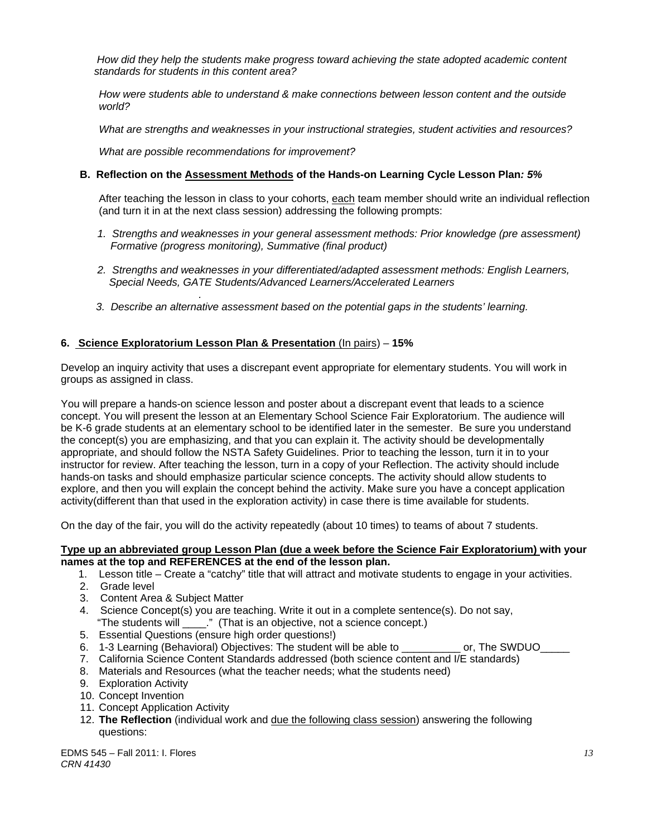standards for students in this content area?  *How did they help the students make progress toward achieving the state adopted academic content* 

*standards for students in this content area? How were students able to understand & make connections between lesson content and the outside world?* 

*What are strengths and weaknesses in your instructional strategies, student activities and resources?* 

 *What are possible recommendations for improvement?* 

#### **B. Reflection on the Assessment Methods of the Hands-on Learning Cycle Lesson Plan***: 5%*

After teaching the lesson in class to your cohorts, each team member should write an individual reflection (and turn it in at the next class session) addressing the following prompts:

- 1. Strengths and weaknesses in your general assessment methods: Prior knowledge (pre assessment)  *Formative (progress monitoring), Summative (final product)*
- *2. Strengths and weaknesses in your differentiated/adapted assessment methods: English Learners, Special Needs, GATE Students/Advanced Learners/Accelerated Learners*
- *3. Describe an alternative assessment based on the potential gaps in the students' learning.*

#### **6. Science Exploratorium Lesson Plan & Presentation** (In pairs) – **15%**

*.*

Develop an inquiry activity that uses a discrepant event appropriate for elementary students. You will work in groups as assigned in class.

You will prepare a hands-on science lesson and poster about a discrepant event that leads to a science concept. You will present the lesson at an Elementary School Science Fair Exploratorium. The audience will be K-6 grade students at an elementary school to be identified later in the semester. Be sure you understand the concept(s) you are emphasizing, and that you can explain it. The activity should be developmentally appropriate, and should follow the NSTA Safety Guidelines. Prior to teaching the lesson, turn it in to your instructor for review. After teaching the lesson, turn in a copy of your Reflection. The activity should include hands-on tasks and should emphasize particular science concepts. The activity should allow students to explore, and then you will explain the concept behind the activity. Make sure you have a concept application activity(different than that used in the exploration activity) in case there is time available for students.

On the day of the fair, you will do the activity repeatedly (about 10 times) to teams of about 7 students.

#### **Type up an abbreviated group Lesson Plan (due a week before the Science Fair Exploratorium) with your names at the top and REFERENCES at the end of the lesson plan.**

- 1. Lesson title Create a "catchy" title that will attract and motivate students to engage in your activities.
- 2. Grade level
- 3. Content Area & Subject Matter
- 4. Science Concept(s) you are teaching. Write it out in a complete sentence(s). Do not say, "The students will \_\_\_\_." (That is an objective, not a science concept.)
- 5. Essential Questions (ensure high order questions!)
- 6. 1-3 Learning (Behavioral) Objectives: The student will be able to \_\_\_\_\_\_\_\_\_\_ or, The SWDUO\_
- 7. California Science Content Standards addressed (both science content and I/E standards)
- 8. Materials and Resources (what the teacher needs; what the students need)
- 9. Exploration Activity
- 10. Concept Invention
- 11. Concept Application Activity
- 12. **The Reflection** (individual work and due the following class session) answering the following questions: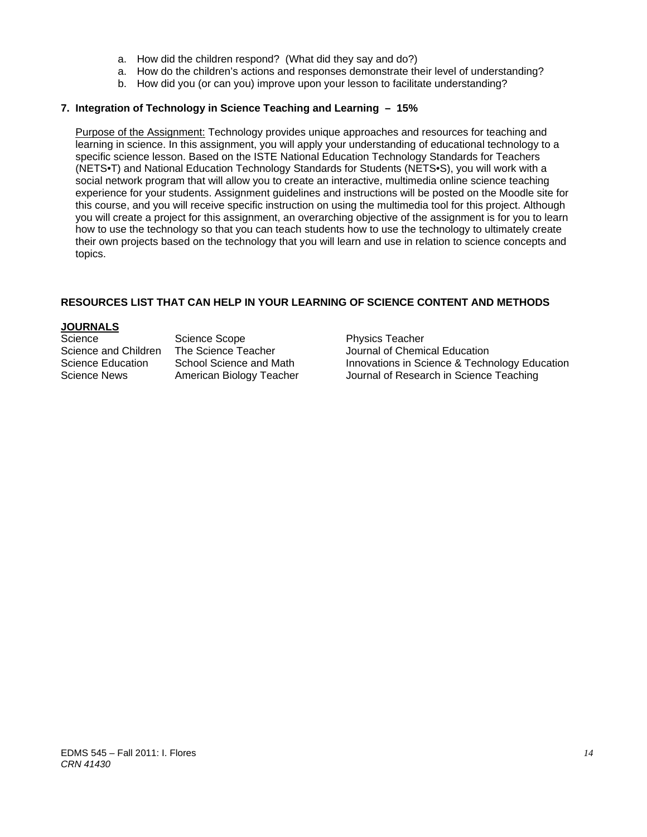- a. How did the children respond? (What did they say and do?)
- a. How do the children's actions and responses demonstrate their level of understanding?
- b. How did you (or can you) improve upon your lesson to facilitate understanding?

# **7. Integration of Technology in Science Teaching and Learning – 15%**

 Purpose of the Assignment: Technology provides unique approaches and resources for teaching and learning in science. In this assignment, you will apply your understanding of educational technology to a specific science lesson. Based on the ISTE National Education Technology Standards for Teachers (NETS•T) and National Education Technology Standards for Students (NETS•S), you will work with a social network program that will allow you to create an interactive, multimedia online science teaching experience for your students. Assignment guidelines and instructions will be posted on the Moodle site for this course, and you will receive specific instruction on using the multimedia tool for this project. Although you will create a project for this assignment, an overarching objective of the assignment is for you to learn how to use the technology so that you can teach students how to use the technology to ultimately create their own projects based on the technology that you will learn and use in relation to science concepts and topics.

# **RESOURCES LIST THAT CAN HELP IN YOUR LEARNING OF SCIENCE CONTENT AND METHODS**

# **JOURNALS**

Science Science Scope Physics Teacher<br>Science and Children The Science Teacher Journal of Chemic

The Science Teacher **Interpreter Science Teacher** Journal of Chemical Education Science Education School Science and Math Innovations in Science & Technology Education Science News American Biology Teacher Journal of Research in Science Teaching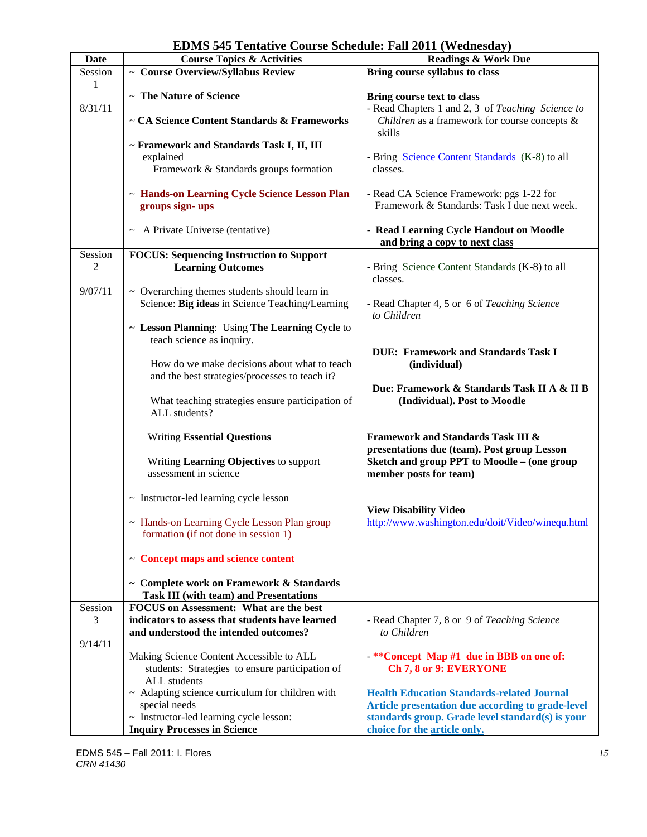| <b>Date</b> | <b>Course Topics &amp; Activities</b>                | 10111111000000177<br><b>Readings &amp; Work Due</b>    |  |  |
|-------------|------------------------------------------------------|--------------------------------------------------------|--|--|
|             |                                                      |                                                        |  |  |
| Session     | $\sim$ Course Overview/Syllabus Review               | Bring course syllabus to class                         |  |  |
| 1           |                                                      |                                                        |  |  |
|             | ~ The Nature of Science                              | Bring course text to class                             |  |  |
| 8/31/11     |                                                      | - Read Chapters 1 and 2, 3 of Teaching Science to      |  |  |
|             | ~ CA Science Content Standards & Frameworks          | Children as a framework for course concepts &          |  |  |
|             |                                                      | skills                                                 |  |  |
|             | ~ Framework and Standards Task I, II, III            |                                                        |  |  |
|             | explained                                            | - Bring Science Content Standards (K-8) to all         |  |  |
|             | Framework & Standards groups formation               | classes.                                               |  |  |
|             |                                                      |                                                        |  |  |
|             |                                                      |                                                        |  |  |
|             | ~ Hands-on Learning Cycle Science Lesson Plan        | - Read CA Science Framework: pgs 1-22 for              |  |  |
|             | groups sign-ups                                      | Framework & Standards: Task I due next week.           |  |  |
|             |                                                      |                                                        |  |  |
|             | ~ A Private Universe (tentative)                     | - Read Learning Cycle Handout on Moodle                |  |  |
|             |                                                      | and bring a copy to next class                         |  |  |
| Session     | <b>FOCUS: Sequencing Instruction to Support</b>      |                                                        |  |  |
| 2           | <b>Learning Outcomes</b>                             | - Bring Science Content Standards (K-8) to all         |  |  |
|             |                                                      | classes.                                               |  |  |
| 9/07/11     | $\sim$ Overarching themes students should learn in   |                                                        |  |  |
|             |                                                      |                                                        |  |  |
|             | Science: Big ideas in Science Teaching/Learning      | - Read Chapter 4, 5 or 6 of Teaching Science           |  |  |
|             |                                                      | to Children                                            |  |  |
|             | ~ Lesson Planning: Using The Learning Cycle to       |                                                        |  |  |
|             | teach science as inquiry.                            |                                                        |  |  |
|             |                                                      | <b>DUE: Framework and Standards Task I</b>             |  |  |
|             | How do we make decisions about what to teach         | (individual)                                           |  |  |
|             | and the best strategies/processes to teach it?       |                                                        |  |  |
|             |                                                      | Due: Framework & Standards Task II A & II B            |  |  |
|             | What teaching strategies ensure participation of     | (Individual). Post to Moodle                           |  |  |
|             | ALL students?                                        |                                                        |  |  |
|             |                                                      |                                                        |  |  |
|             |                                                      |                                                        |  |  |
|             | <b>Writing Essential Questions</b>                   | Framework and Standards Task III &                     |  |  |
|             |                                                      | presentations due (team). Post group Lesson            |  |  |
|             | Writing Learning Objectives to support               | Sketch and group PPT to Moodle - (one group            |  |  |
|             | assessment in science                                | member posts for team)                                 |  |  |
|             |                                                      |                                                        |  |  |
|             | $\sim$ Instructor-led learning cycle lesson          |                                                        |  |  |
|             |                                                      | <b>View Disability Video</b>                           |  |  |
|             | ~ Hands-on Learning Cycle Lesson Plan group          | http://www.washington.edu/doit/Video/winequ.html       |  |  |
|             | formation (if not done in session 1)                 |                                                        |  |  |
|             |                                                      |                                                        |  |  |
|             | ~ Concept maps and science content                   |                                                        |  |  |
|             |                                                      |                                                        |  |  |
|             |                                                      |                                                        |  |  |
|             | ~ Complete work on Framework & Standards             |                                                        |  |  |
|             | <b>Task III (with team) and Presentations</b>        |                                                        |  |  |
| Session     | <b>FOCUS</b> on Assessment: What are the best        |                                                        |  |  |
| 3           | indicators to assess that students have learned      | - Read Chapter 7, 8 or 9 of Teaching Science           |  |  |
|             | and understood the intended outcomes?                | to Children                                            |  |  |
| 9/14/11     |                                                      |                                                        |  |  |
|             | Making Science Content Accessible to ALL             | $-*$ <sup>*</sup> Concept Map #1 due in BBB on one of: |  |  |
|             | students: Strategies to ensure participation of      | Ch 7, 8 or 9: EVERYONE                                 |  |  |
|             | ALL students                                         |                                                        |  |  |
|             | $\sim$ Adapting science curriculum for children with | <b>Health Education Standards-related Journal</b>      |  |  |
|             |                                                      |                                                        |  |  |
|             | special needs                                        | Article presentation due according to grade-level      |  |  |
|             | ~ Instructor-led learning cycle lesson:              | standards group. Grade level standard(s) is your       |  |  |
|             | <b>Inquiry Processes in Science</b>                  | choice for the article only.                           |  |  |

# **EDMS 545 Tentative Course Schedule: Fall 2011 (Wednesday)**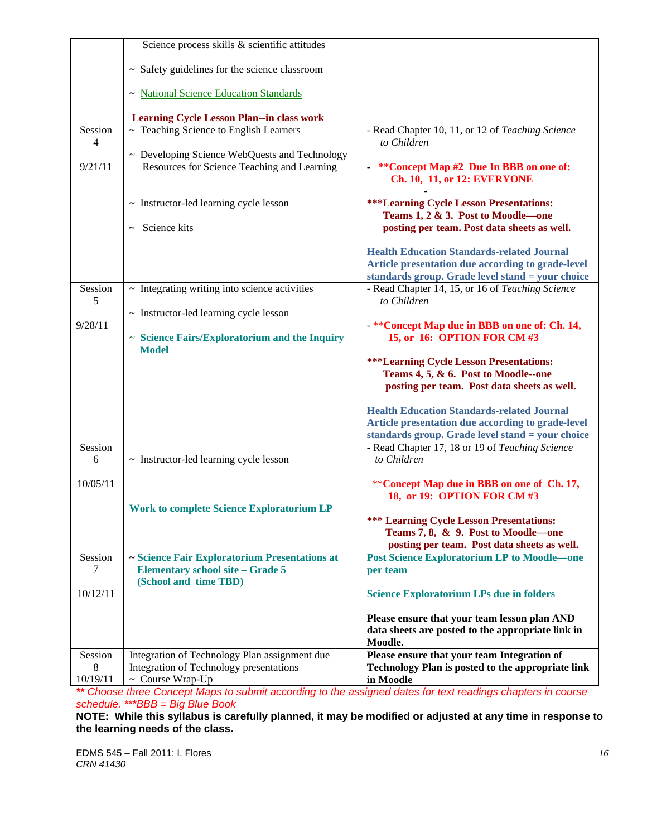|                           | Science process skills & scientific attitudes      |                                                                                   |
|---------------------------|----------------------------------------------------|-----------------------------------------------------------------------------------|
|                           |                                                    |                                                                                   |
|                           | ~ Safety guidelines for the science classroom      |                                                                                   |
|                           | ~ National Science Education Standards             |                                                                                   |
|                           | <b>Learning Cycle Lesson Plan--in class work</b>   |                                                                                   |
| Session<br>$\overline{4}$ | $\sim$ Teaching Science to English Learners        | - Read Chapter 10, 11, or 12 of Teaching Science<br>to Children                   |
|                           | $\sim$ Developing Science WebQuests and Technology |                                                                                   |
| 9/21/11                   | Resources for Science Teaching and Learning        | **Concept Map #2 Due In BBB on one of:<br><b>Ch. 10, 11, or 12: EVERYONE</b>      |
|                           | $\sim$ Instructor-led learning cycle lesson        | <b>***Learning Cycle Lesson Presentations:</b>                                    |
|                           | Science kits<br>$\tilde{\phantom{a}}$              | Teams 1, 2 & 3. Post to Moodle-one<br>posting per team. Post data sheets as well. |
|                           |                                                    | <b>Health Education Standards-related Journal</b>                                 |
|                           |                                                    | Article presentation due according to grade-level                                 |
|                           |                                                    | standards group. Grade level stand = your choice                                  |
| Session<br>5              | $\sim$ Integrating writing into science activities | - Read Chapter 14, 15, or 16 of Teaching Science<br>to Children                   |
|                           | ~ Instructor-led learning cycle lesson             |                                                                                   |
| 9/28/11                   |                                                    | - ** Concept Map due in BBB on one of: Ch. 14,                                    |
|                           | ~ Science Fairs/Exploratorium and the Inquiry      | 15, or 16: OPTION FOR CM #3                                                       |
|                           | <b>Model</b>                                       |                                                                                   |
|                           |                                                    | <b>***Learning Cycle Lesson Presentations:</b>                                    |
|                           |                                                    | Teams 4, 5, & 6. Post to Moodle--one                                              |
|                           |                                                    | posting per team. Post data sheets as well.                                       |
|                           |                                                    | <b>Health Education Standards-related Journal</b>                                 |
|                           |                                                    | Article presentation due according to grade-level                                 |
|                           |                                                    | standards group. Grade level stand = your choice                                  |
| Session                   |                                                    | - Read Chapter 17, 18 or 19 of Teaching Science                                   |
| 6                         | $\sim$ Instructor-led learning cycle lesson        | to Children                                                                       |
| 10/05/11                  |                                                    | ** Concept Map due in BBB on one of Ch. 17,                                       |
|                           |                                                    | 18, or 19: OPTION FOR CM #3                                                       |
|                           | <b>Work to complete Science Exploratorium LP</b>   |                                                                                   |
|                           |                                                    | <b>*** Learning Cycle Lesson Presentations:</b>                                   |
|                           |                                                    | Teams 7, 8, & 9. Post to Moodle-one                                               |
|                           |                                                    | posting per team. Post data sheets as well.                                       |
| Session                   | ~ Science Fair Exploratorium Presentations at      | <b>Post Science Exploratorium LP to Moodle-one</b>                                |
| 7                         | <b>Elementary school site - Grade 5</b>            | per team                                                                          |
|                           | (School and time TBD)                              |                                                                                   |
| 10/12/11                  |                                                    | <b>Science Exploratorium LPs due in folders</b>                                   |
|                           |                                                    | Please ensure that your team lesson plan AND                                      |
|                           |                                                    | data sheets are posted to the appropriate link in                                 |
|                           |                                                    | Moodle.                                                                           |
| Session                   | Integration of Technology Plan assignment due      | Please ensure that your team Integration of                                       |
| 8                         | Integration of Technology presentations            | Technology Plan is posted to the appropriate link                                 |
| 10/19/11                  | $\sim$ Course Wrap-Up                              | in Moodle                                                                         |

 *schedule. \*\*\*BBB = Big Blue Book \*\* Choose three Concept Maps to submit according to the assigned dates for text readings chapters in course* 

**NOTE: While this syllabus is carefully planned, it may be modified or adjusted at any time in response to the learning needs of the class.**